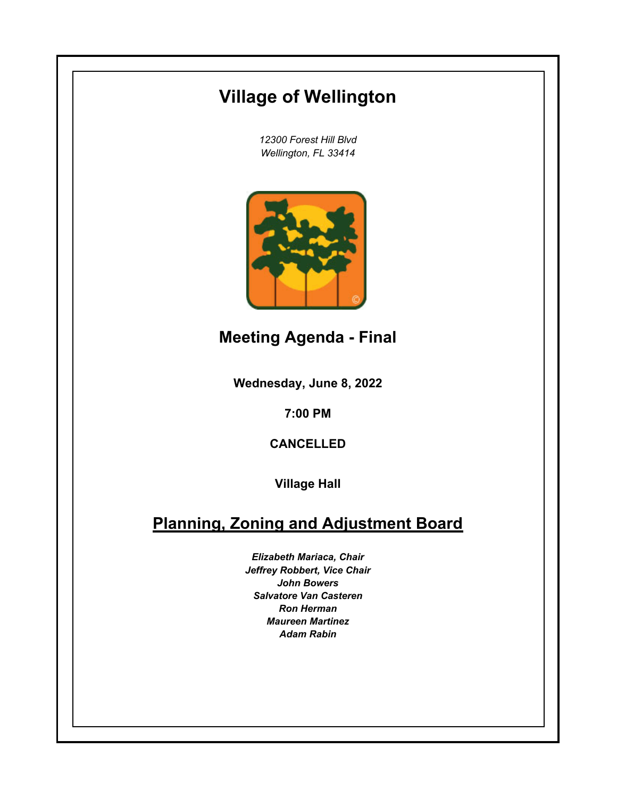## **Village of Wellington**

*12300 Forest Hill Blvd Wellington, FL 33414*



**Meeting Agenda - Final**

**Wednesday, June 8, 2022**

**7:00 PM**

**CANCELLED**

**Village Hall**

## **Planning, Zoning and Adjustment Board**

*Elizabeth Mariaca, Chair Jeffrey Robbert, Vice Chair John Bowers Salvatore Van Casteren Ron Herman Maureen Martinez Adam Rabin*